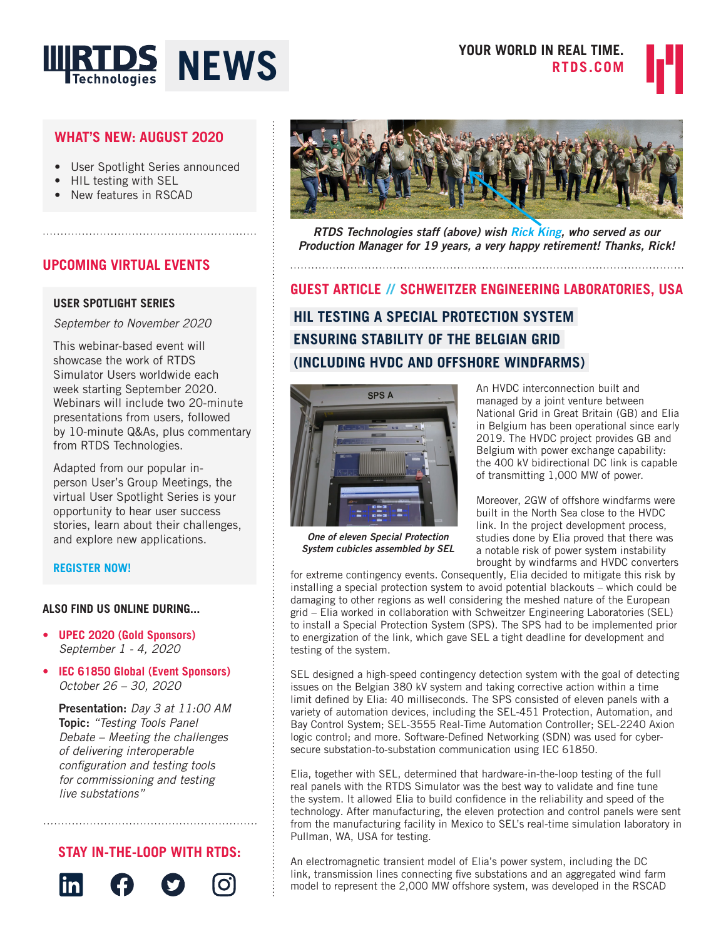



# **WHAT'S NEW: AUGUST 2020**

• User Spotlight Series announced

- HIL testing with SEL
- New features in RSCAD

# **UPCOMING VIRTUAL EVENTS**

### **USER SPOTLIGHT SERIES**

*September to November 2020*

This webinar-based event will showcase the work of RTDS Simulator Users worldwide each week starting September 2020. Webinars will include two 20-minute presentations from users, followed by 10-minute Q&As, plus commentary from RTDS Technologies.

Adapted from our popular inperson User's Group Meetings, the virtual User Spotlight Series is your opportunity to hear user success stories, learn about their challenges, and explore new applications.

### **[REGISTER NOW!](https://www.rtds.com/events/uss/)**

### **ALSO FIND US ONLINE DURING...**

- **• UPEC 2020 (Gold Sponsors)** *September 1 - 4, 2020*
- **• IEC 61850 Global (Event Sponsors)**  *October 26 – 30, 2020*

Presentation: *Day 3 at 11:00 AM* Topic: *"Testing Tools Panel Debate – Meeting the challenges of delivering interoperable*  configuration and testing tools *for commissioning and testing*  live substations"

# **STAY IN-THE-LOOP WITH RTDS:**





*RTDS Technologies staff (above) wish Rick King, who served as our Production Manager for 19 years, a very happy retirement! Thanks, Rick!*

**HIL TESTING A SPECIAL PROTECTION SYSTEM ENSURING STABILITY OF THE BELGIAN GRID (INCLUDING HVDC AND OFFSHORE WINDFARMS) GUEST ARTICLE // SCHWEITZER ENGINEERING LABORATORIES, USA**



*One of eleven Special Protection System cubicles assembled by SEL*

An HVDC interconnection built and managed by a joint venture between National Grid in Great Britain (GB) and Elia in Belgium has been operational since early 2019. The HVDC project provides GB and Belgium with power exchange capability: the 400 kV bidirectional DC link is capable of transmitting 1,000 MW of power.

Moreover, 2GW of offshore windfarms were built in the North Sea close to the HVDC link. In the project development process, studies done by Elia proved that there was a notable risk of power system instability brought by windfarms and HVDC converters

for extreme contingency events. Consequently, Elia decided to mitigate this risk by installing a special protection system to avoid potential blackouts – which could be damaging to other regions as well considering the meshed nature of the European grid – Elia worked in collaboration with Schweitzer Engineering Laboratories (SEL) to install a Special Protection System (SPS). The SPS had to be implemented prior to energization of the link, which gave SEL a tight deadline for development and testing of the system.

SEL designed a high-speed contingency detection system with the goal of detecting issues on the Belgian 380 kV system and taking corrective action within a time limit defined by Elia: 40 milliseconds. The SPS consisted of eleven panels with a variety of automation devices, including the SEL-451 Protection, Automation, and Bay Control System; SEL-3555 Real-Time Automation Controller; SEL-2240 Axion logic control; and more. Software-Defined Networking (SDN) was used for cybersecure substation-to-substation communication using IEC 61850.

Elia, together with SEL, determined that hardware-in-the-loop testing of the full real panels with the RTDS Simulator was the best way to validate and fine tune the system. It allowed Elia to build confidence in the reliability and speed of the technology. After manufacturing, the eleven protection and control panels were sent from the manufacturing facility in Mexico to SEL's real-time simulation laboratory in Pullman, WA, USA for testing.

An electromagnetic transient model of Elia's power system, including the DC link, transmission lines connecting five substations and an aggregated wind farm model to represent the 2,000 MW offshore system, was developed in the RSCAD